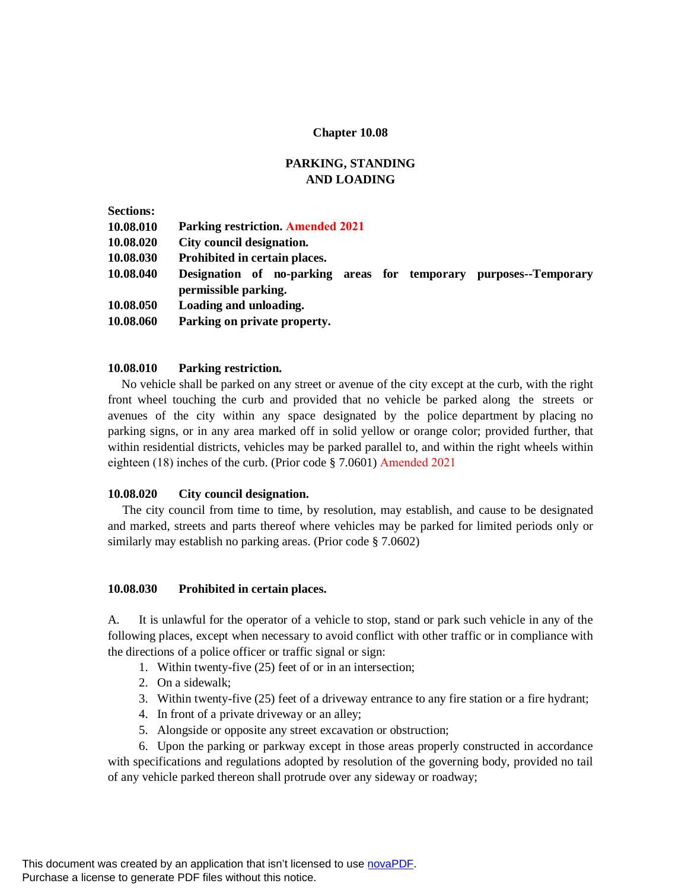## **Chapter 10.08**

# **PARKING, STANDING AND LOADING**

| <b>Sections:</b> |                                                                                              |
|------------------|----------------------------------------------------------------------------------------------|
| 10.08.010        | <b>Parking restriction. Amended 2021</b>                                                     |
| 10.08.020        | City council designation.                                                                    |
| 10.08.030        | Prohibited in certain places.                                                                |
| 10.08.040        | Designation of no-parking areas for temporary<br>purposes--Temporary<br>permissible parking. |
| 10.08.050        | Loading and unloading.                                                                       |
| 10.08.060        | Parking on private property.                                                                 |

### **10.08.010 Parking restriction.**

No vehicle shall be parked on any street or avenue of the city except at the curb, with the right front wheel touching the curb and provided that no vehicle be parked along the streets or avenues of the city within any space designated by the police department by placing no parking signs, or in any area marked off in solid yellow or orange color; provided further, that within residential districts, vehicles may be parked parallel to, and within the right wheels within eighteen (18) inches of the curb. (Prior code § 7.0601) Amended 2021

### **10.08.020 City council designation.**

The city council from time to time, by resolution, may establish, and cause to be designated and marked, streets and parts thereof where vehicles may be parked for limited periods only or similarly may establish no parking areas. (Prior code § 7.0602)

### **10.08.030 Prohibited in certain places.**

A. It is unlawful for the operator of a vehicle to stop, stand or park such vehicle in any of the following places, except when necessary to avoid conflict with other traffic or in compliance with the directions of a police officer or traffic signal or sign:

- 1. Within twenty-five (25) feet of or in an intersection;
- 2. On a sidewalk;
- 3. Within twenty-five (25) feet of a driveway entrance to any fire station or a fire hydrant;
- 4. In front of a private driveway or an alley;
- 5. Alongside or opposite any street excavation or obstruction;

6. Upon the parking or parkway except in those areas properly constructed in accordance with specifications and regulations adopted by resolution of the governing body, provided no tail of any vehicle parked thereon shall protrude over any sideway or roadway;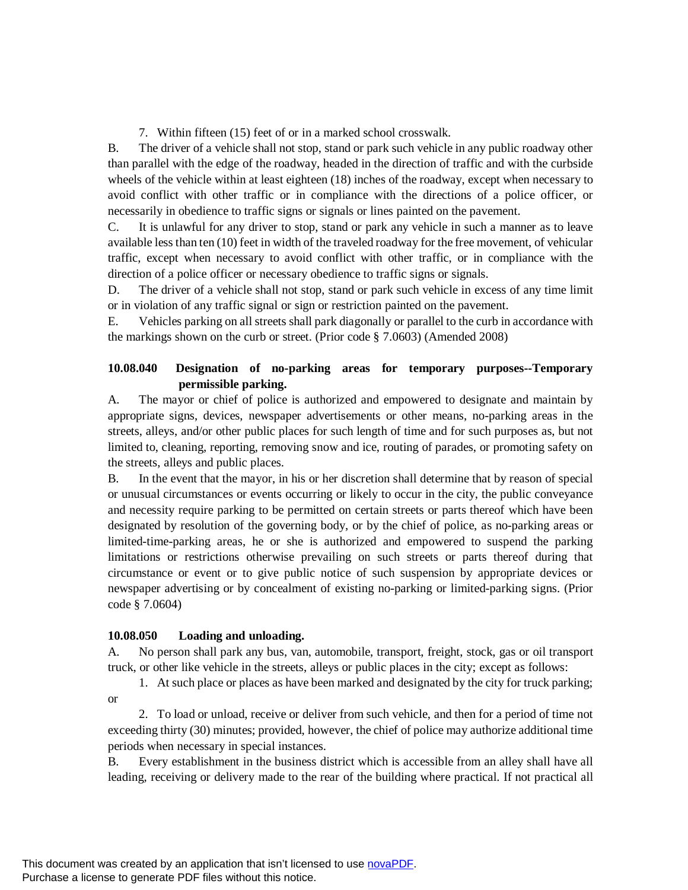7. Within fifteen (15) feet of or in a marked school crosswalk.

B. The driver of a vehicle shall not stop, stand or park such vehicle in any public roadway other than parallel with the edge of the roadway, headed in the direction of traffic and with the curbside wheels of the vehicle within at least eighteen (18) inches of the roadway, except when necessary to avoid conflict with other traffic or in compliance with the directions of a police officer, or necessarily in obedience to traffic signs or signals or lines painted on the pavement.

C. It is unlawful for any driver to stop, stand or park any vehicle in such a manner as to leave available less than ten (10) feet in width of the traveled roadway for the free movement, of vehicular traffic, except when necessary to avoid conflict with other traffic, or in compliance with the direction of a police officer or necessary obedience to traffic signs or signals.

D. The driver of a vehicle shall not stop, stand or park such vehicle in excess of any time limit or in violation of any traffic signal or sign or restriction painted on the pavement.

E. Vehicles parking on all streets shall park diagonally or parallel to the curb in accordance with the markings shown on the curb or street. (Prior code § 7.0603) (Amended 2008)

# **10.08.040 Designation of no-parking areas for temporary purposes--Temporary permissible parking.**

A. The mayor or chief of police is authorized and empowered to designate and maintain by appropriate signs, devices, newspaper advertisements or other means, no-parking areas in the streets, alleys, and/or other public places for such length of time and for such purposes as, but not limited to, cleaning, reporting, removing snow and ice, routing of parades, or promoting safety on the streets, alleys and public places.

B. In the event that the mayor, in his or her discretion shall determine that by reason of special or unusual circumstances or events occurring or likely to occur in the city, the public conveyance and necessity require parking to be permitted on certain streets or parts thereof which have been designated by resolution of the governing body, or by the chief of police, as no-parking areas or limited-time-parking areas, he or she is authorized and empowered to suspend the parking limitations or restrictions otherwise prevailing on such streets or parts thereof during that circumstance or event or to give public notice of such suspension by appropriate devices or newspaper advertising or by concealment of existing no-parking or limited-parking signs. (Prior code § 7.0604)

## **10.08.050 Loading and unloading.**

A. No person shall park any bus, van, automobile, transport, freight, stock, gas or oil transport truck, or other like vehicle in the streets, alleys or public places in the city; except as follows:

1. At such place or places as have been marked and designated by the city for truck parking; or

2. To load or unload, receive or deliver from such vehicle, and then for a period of time not exceeding thirty (30) minutes; provided, however, the chief of police may authorize additional time periods when necessary in special instances.

B. Every establishment in the business district which is accessible from an alley shall have all leading, receiving or delivery made to the rear of the building where practical. If not practical all